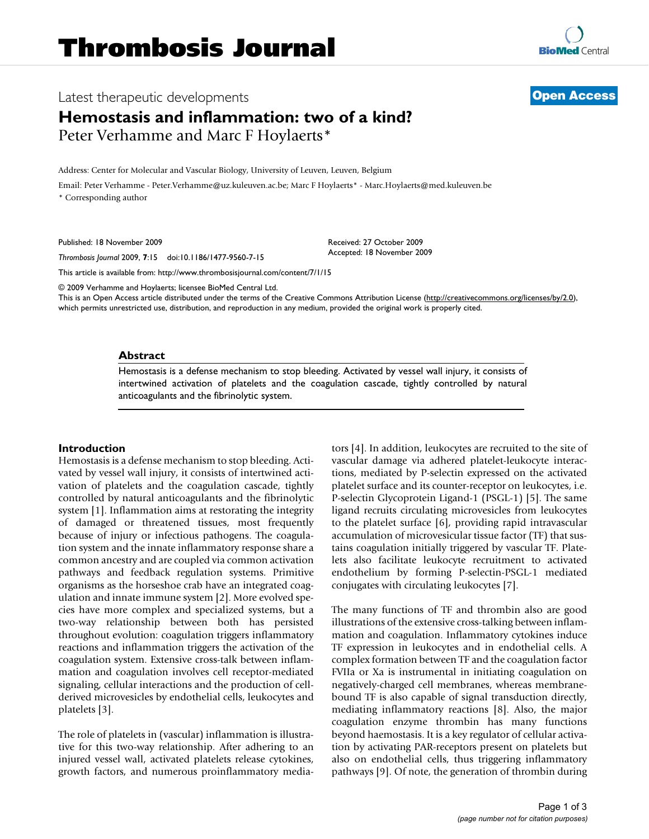# Latest therapeutic developments **[Open Access](http://www.biomedcentral.com/info/about/charter/)**

# **Hemostasis and inflammation: two of a kind?** Peter Verhamme and Marc F Hoylaerts\*

Address: Center for Molecular and Vascular Biology, University of Leuven, Leuven, Belgium

Email: Peter Verhamme - Peter.Verhamme@uz.kuleuven.ac.be; Marc F Hoylaerts\* - Marc.Hoylaerts@med.kuleuven.be \* Corresponding author

Published: 18 November 2009

*Thrombosis Journal* 2009, **7**:15 doi:10.1186/1477-9560-7-15

[This article is available from: http://www.thrombosisjournal.com/content/7/1/15](http://www.thrombosisjournal.com/content/7/1/15)

© 2009 Verhamme and Hoylaerts; licensee BioMed Central Ltd.

This is an Open Access article distributed under the terms of the Creative Commons Attribution License [\(http://creativecommons.org/licenses/by/2.0\)](http://creativecommons.org/licenses/by/2.0), which permits unrestricted use, distribution, and reproduction in any medium, provided the original work is properly cited.

Received: 27 October 2009 Accepted: 18 November 2009

#### **Abstract**

Hemostasis is a defense mechanism to stop bleeding. Activated by vessel wall injury, it consists of intertwined activation of platelets and the coagulation cascade, tightly controlled by natural anticoagulants and the fibrinolytic system.

### **Introduction**

Hemostasis is a defense mechanism to stop bleeding. Activated by vessel wall injury, it consists of intertwined activation of platelets and the coagulation cascade, tightly controlled by natural anticoagulants and the fibrinolytic system [1]. Inflammation aims at restorating the integrity of damaged or threatened tissues, most frequently because of injury or infectious pathogens. The coagulation system and the innate inflammatory response share a common ancestry and are coupled via common activation pathways and feedback regulation systems. Primitive organisms as the horseshoe crab have an integrated coagulation and innate immune system [2]. More evolved species have more complex and specialized systems, but a two-way relationship between both has persisted throughout evolution: coagulation triggers inflammatory reactions and inflammation triggers the activation of the coagulation system. Extensive cross-talk between inflammation and coagulation involves cell receptor-mediated signaling, cellular interactions and the production of cellderived microvesicles by endothelial cells, leukocytes and platelets [3].

The role of platelets in (vascular) inflammation is illustrative for this two-way relationship. After adhering to an injured vessel wall, activated platelets release cytokines, growth factors, and numerous proinflammatory mediators [4]. In addition, leukocytes are recruited to the site of vascular damage via adhered platelet-leukocyte interactions, mediated by P-selectin expressed on the activated platelet surface and its counter-receptor on leukocytes, i.e. P-selectin Glycoprotein Ligand-1 (PSGL-1) [5]. The same ligand recruits circulating microvesicles from leukocytes to the platelet surface [6], providing rapid intravascular accumulation of microvesicular tissue factor (TF) that sustains coagulation initially triggered by vascular TF. Platelets also facilitate leukocyte recruitment to activated endothelium by forming P-selectin-PSGL-1 mediated conjugates with circulating leukocytes [7].

The many functions of TF and thrombin also are good illustrations of the extensive cross-talking between inflammation and coagulation. Inflammatory cytokines induce TF expression in leukocytes and in endothelial cells. A complex formation between TF and the coagulation factor FVIIa or Xa is instrumental in initiating coagulation on negatively-charged cell membranes, whereas membranebound TF is also capable of signal transduction directly, mediating inflammatory reactions [8]. Also, the major coagulation enzyme thrombin has many functions beyond haemostasis. It is a key regulator of cellular activation by activating PAR-receptors present on platelets but also on endothelial cells, thus triggering inflammatory pathways [9]. Of note, the generation of thrombin during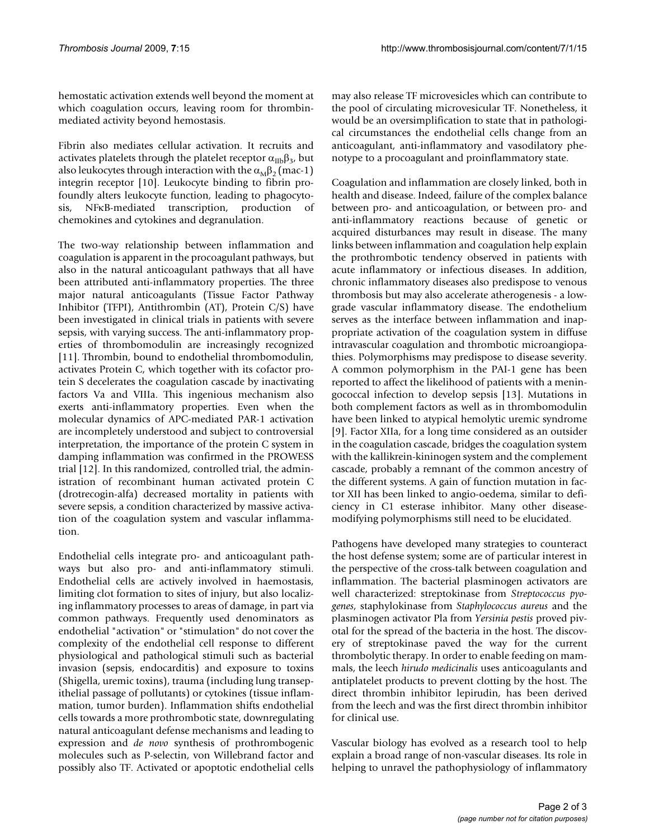hemostatic activation extends well beyond the moment at which coagulation occurs, leaving room for thrombinmediated activity beyond hemostasis.

Fibrin also mediates cellular activation. It recruits and activates platelets through the platelet receptor  $\alpha_{\text{IIb}}\beta_3$ , but also leukocytes through interaction with the  $\alpha_M\beta_2$  (mac-1) integrin receptor [10]. Leukocyte binding to fibrin profoundly alters leukocyte function, leading to phagocytosis, NFκB-mediated transcription, production of chemokines and cytokines and degranulation.

The two-way relationship between inflammation and coagulation is apparent in the procoagulant pathways, but also in the natural anticoagulant pathways that all have been attributed anti-inflammatory properties. The three major natural anticoagulants (Tissue Factor Pathway Inhibitor (TFPI), Antithrombin (AT), Protein C/S) have been investigated in clinical trials in patients with severe sepsis, with varying success. The anti-inflammatory properties of thrombomodulin are increasingly recognized [11]. Thrombin, bound to endothelial thrombomodulin, activates Protein C, which together with its cofactor protein S decelerates the coagulation cascade by inactivating factors Va and VIIIa. This ingenious mechanism also exerts anti-inflammatory properties. Even when the molecular dynamics of APC-mediated PAR-1 activation are incompletely understood and subject to controversial interpretation, the importance of the protein C system in damping inflammation was confirmed in the PROWESS trial [12]. In this randomized, controlled trial, the administration of recombinant human activated protein C (drotrecogin-alfa) decreased mortality in patients with severe sepsis, a condition characterized by massive activation of the coagulation system and vascular inflammation.

Endothelial cells integrate pro- and anticoagulant pathways but also pro- and anti-inflammatory stimuli. Endothelial cells are actively involved in haemostasis, limiting clot formation to sites of injury, but also localizing inflammatory processes to areas of damage, in part via common pathways. Frequently used denominators as endothelial "activation" or "stimulation" do not cover the complexity of the endothelial cell response to different physiological and pathological stimuli such as bacterial invasion (sepsis, endocarditis) and exposure to toxins (Shigella, uremic toxins), trauma (including lung transepithelial passage of pollutants) or cytokines (tissue inflammation, tumor burden). Inflammation shifts endothelial cells towards a more prothrombotic state, downregulating natural anticoagulant defense mechanisms and leading to expression and *de novo* synthesis of prothrombogenic molecules such as P-selectin, von Willebrand factor and possibly also TF. Activated or apoptotic endothelial cells

may also release TF microvesicles which can contribute to the pool of circulating microvesicular TF. Nonetheless, it would be an oversimplification to state that in pathological circumstances the endothelial cells change from an anticoagulant, anti-inflammatory and vasodilatory phenotype to a procoagulant and proinflammatory state.

Coagulation and inflammation are closely linked, both in health and disease. Indeed, failure of the complex balance between pro- and anticoagulation, or between pro- and anti-inflammatory reactions because of genetic or acquired disturbances may result in disease. The many links between inflammation and coagulation help explain the prothrombotic tendency observed in patients with acute inflammatory or infectious diseases. In addition, chronic inflammatory diseases also predispose to venous thrombosis but may also accelerate atherogenesis - a lowgrade vascular inflammatory disease. The endothelium serves as the interface between inflammation and inappropriate activation of the coagulation system in diffuse intravascular coagulation and thrombotic microangiopathies. Polymorphisms may predispose to disease severity. A common polymorphism in the PAI-1 gene has been reported to affect the likelihood of patients with a meningococcal infection to develop sepsis [13]. Mutations in both complement factors as well as in thrombomodulin have been linked to atypical hemolytic uremic syndrome [9]. Factor XIIa, for a long time considered as an outsider in the coagulation cascade, bridges the coagulation system with the kallikrein-kininogen system and the complement cascade, probably a remnant of the common ancestry of the different systems. A gain of function mutation in factor XII has been linked to angio-oedema, similar to deficiency in C1 esterase inhibitor. Many other diseasemodifying polymorphisms still need to be elucidated.

Pathogens have developed many strategies to counteract the host defense system; some are of particular interest in the perspective of the cross-talk between coagulation and inflammation. The bacterial plasminogen activators are well characterized: streptokinase from *Streptococcus pyogenes*, staphylokinase from *Staphylococcus aureus* and the plasminogen activator Pla from *Yersinia pestis* proved pivotal for the spread of the bacteria in the host. The discovery of streptokinase paved the way for the current thrombolytic therapy. In order to enable feeding on mammals, the leech *hirudo medicinalis* uses anticoagulants and antiplatelet products to prevent clotting by the host. The direct thrombin inhibitor lepirudin, has been derived from the leech and was the first direct thrombin inhibitor for clinical use.

Vascular biology has evolved as a research tool to help explain a broad range of non-vascular diseases. Its role in helping to unravel the pathophysiology of inflammatory